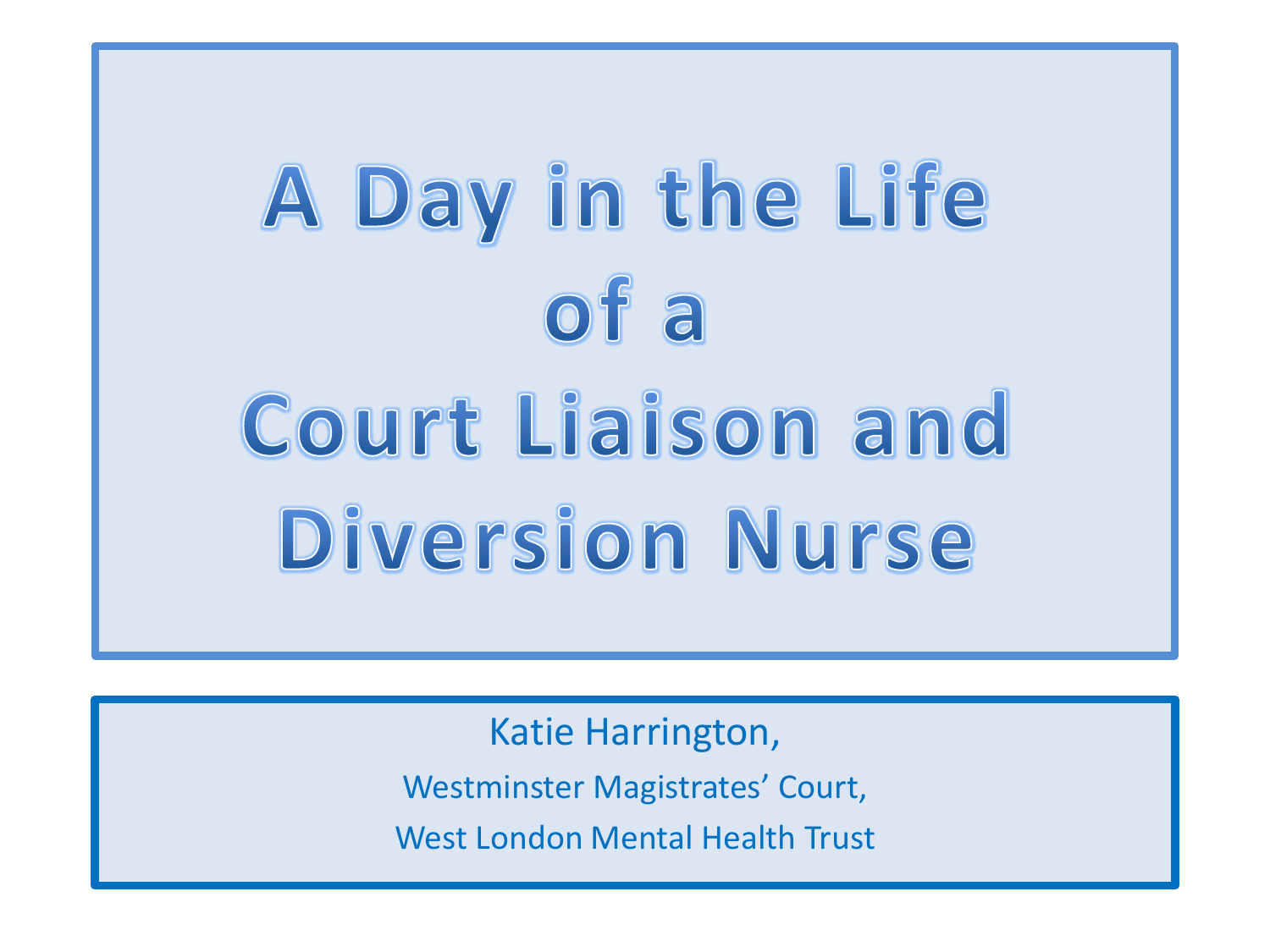# A Day in the Life  $ofa$ **Court Liaison and Diversion Nurse**

Katie Harrington, Westminster Magistrates' Court, West London Mental Health Trust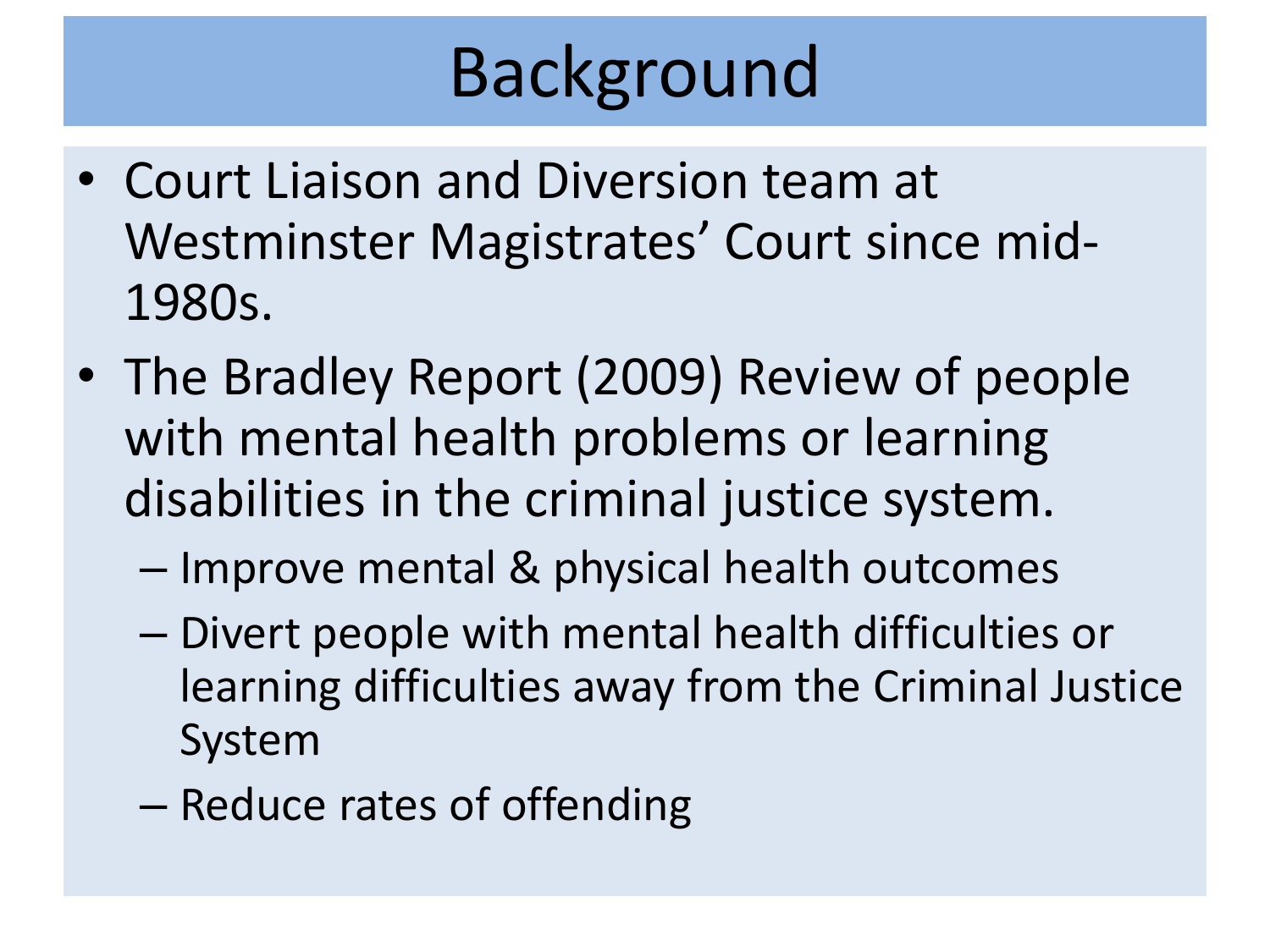# Background

- Court Liaison and Diversion team at Westminster Magistrates' Court since mid-1980s.
- The Bradley Report (2009) Review of people with mental health problems or learning disabilities in the criminal justice system.
	- Improve mental & physical health outcomes
	- Divert people with mental health difficulties or learning difficulties away from the Criminal Justice System
	- Reduce rates of offending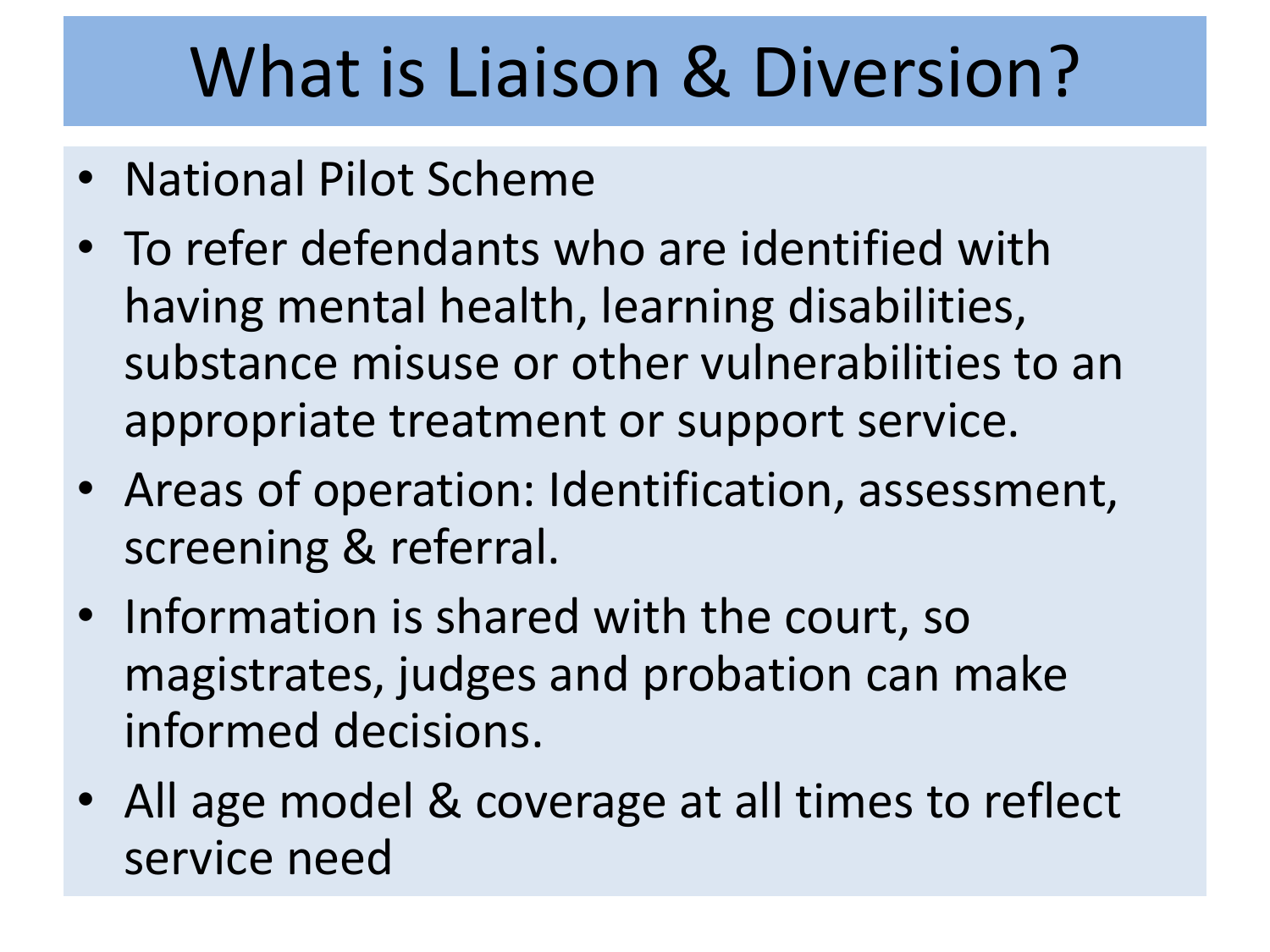## What is Liaison & Diversion?

- National Pilot Scheme
- To refer defendants who are identified with having mental health, learning disabilities, substance misuse or other vulnerabilities to an appropriate treatment or support service.
- Areas of operation: Identification, assessment, screening & referral.
- Information is shared with the court, so magistrates, judges and probation can make informed decisions.
- All age model & coverage at all times to reflect service need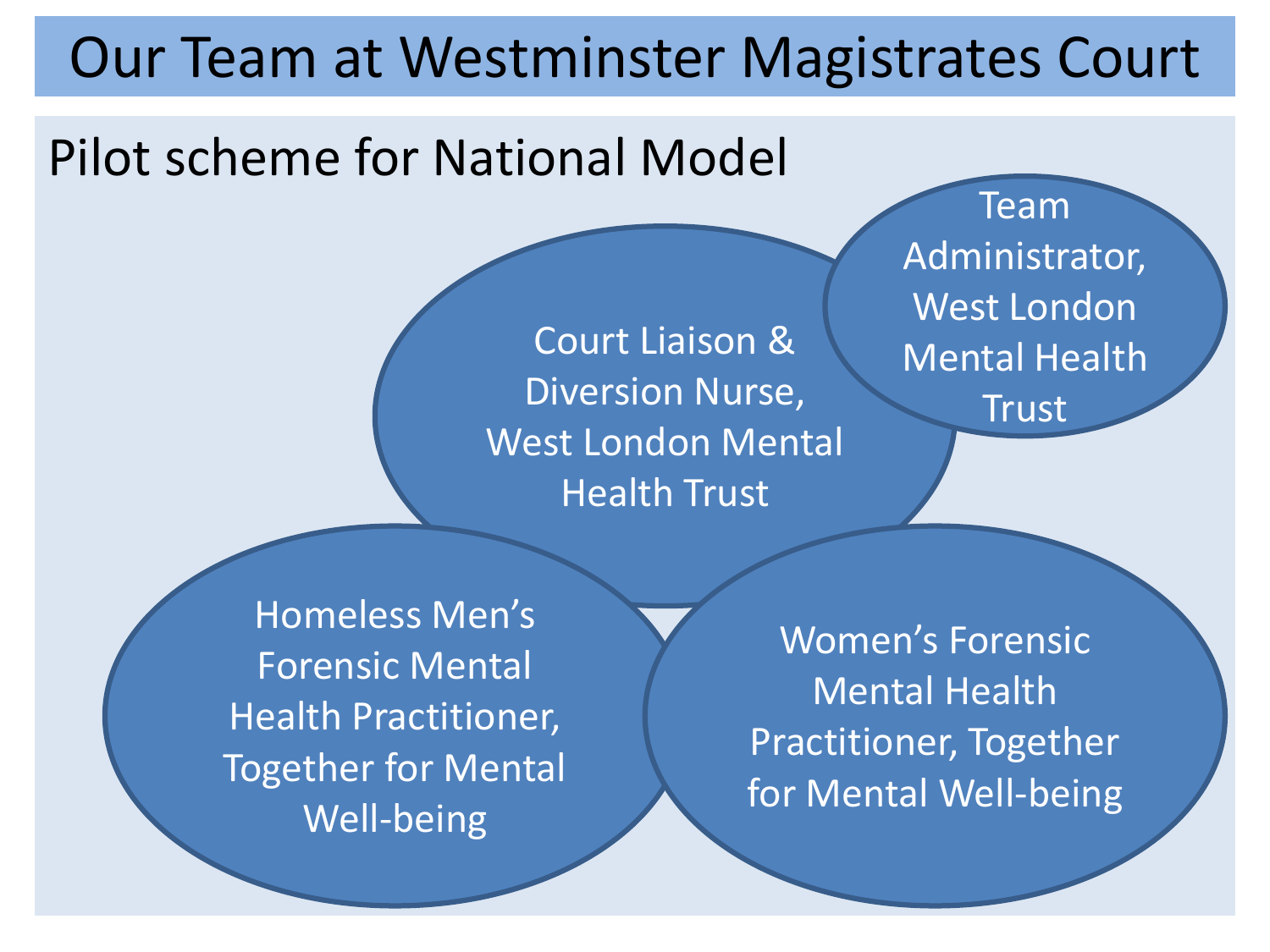#### Our Team at Westminster Magistrates Court

#### Pilot scheme for National Model

Court Liaison & Diversion Nurse, West London Mental Health Trust

Team Administrator, West London Mental Health Trust

Homeless Men's Forensic Mental Health Practitioner, Together for Mental Well-being

Women's Forensic Mental Health Practitioner, Together for Mental Well-being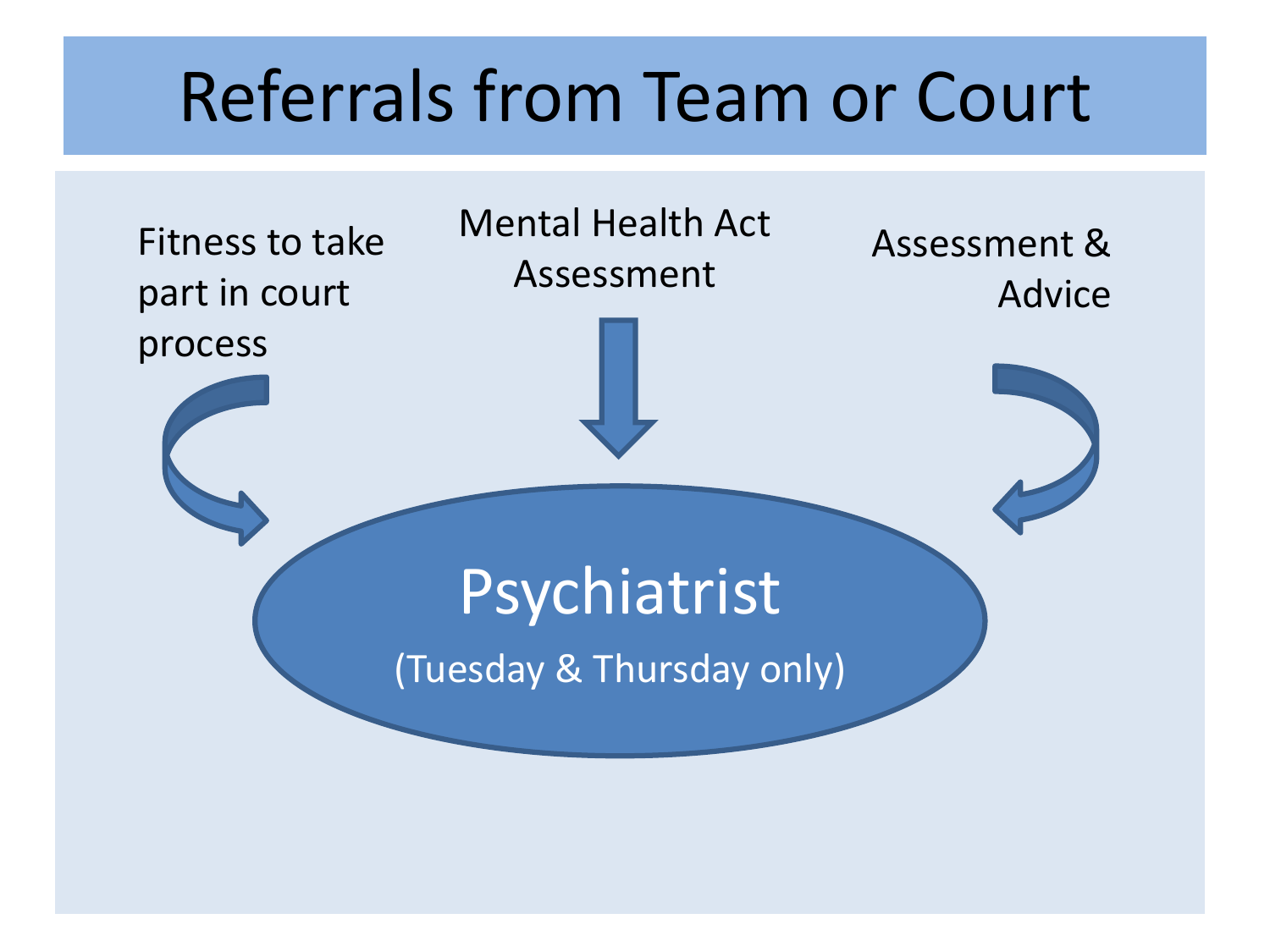#### Referrals from Team or Court

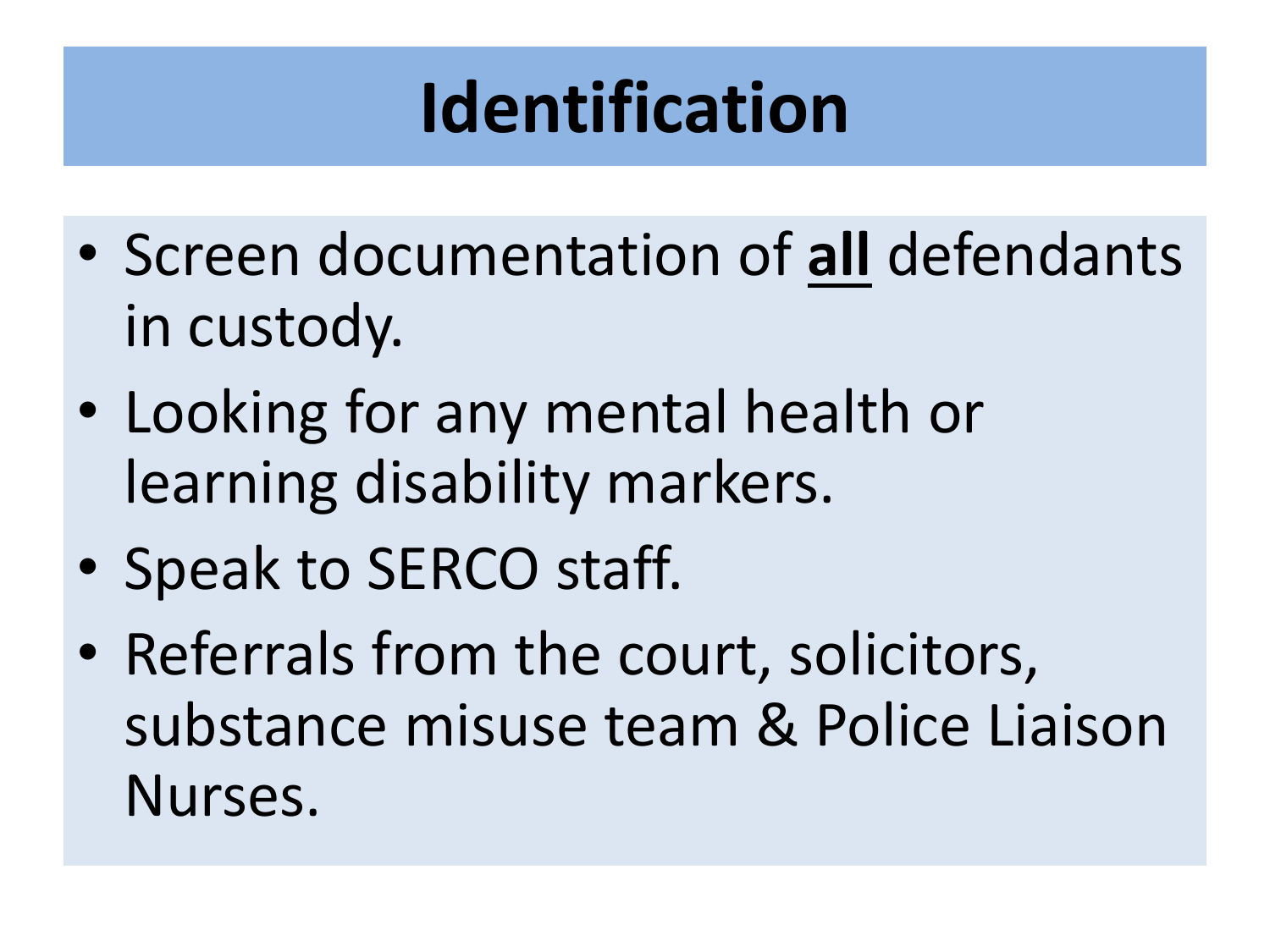# **Identification**

- Screen documentation of **all** defendants in custody.
- Looking for any mental health or learning disability markers.
- Speak to SERCO staff.
- Referrals from the court, solicitors, substance misuse team & Police Liaison Nurses.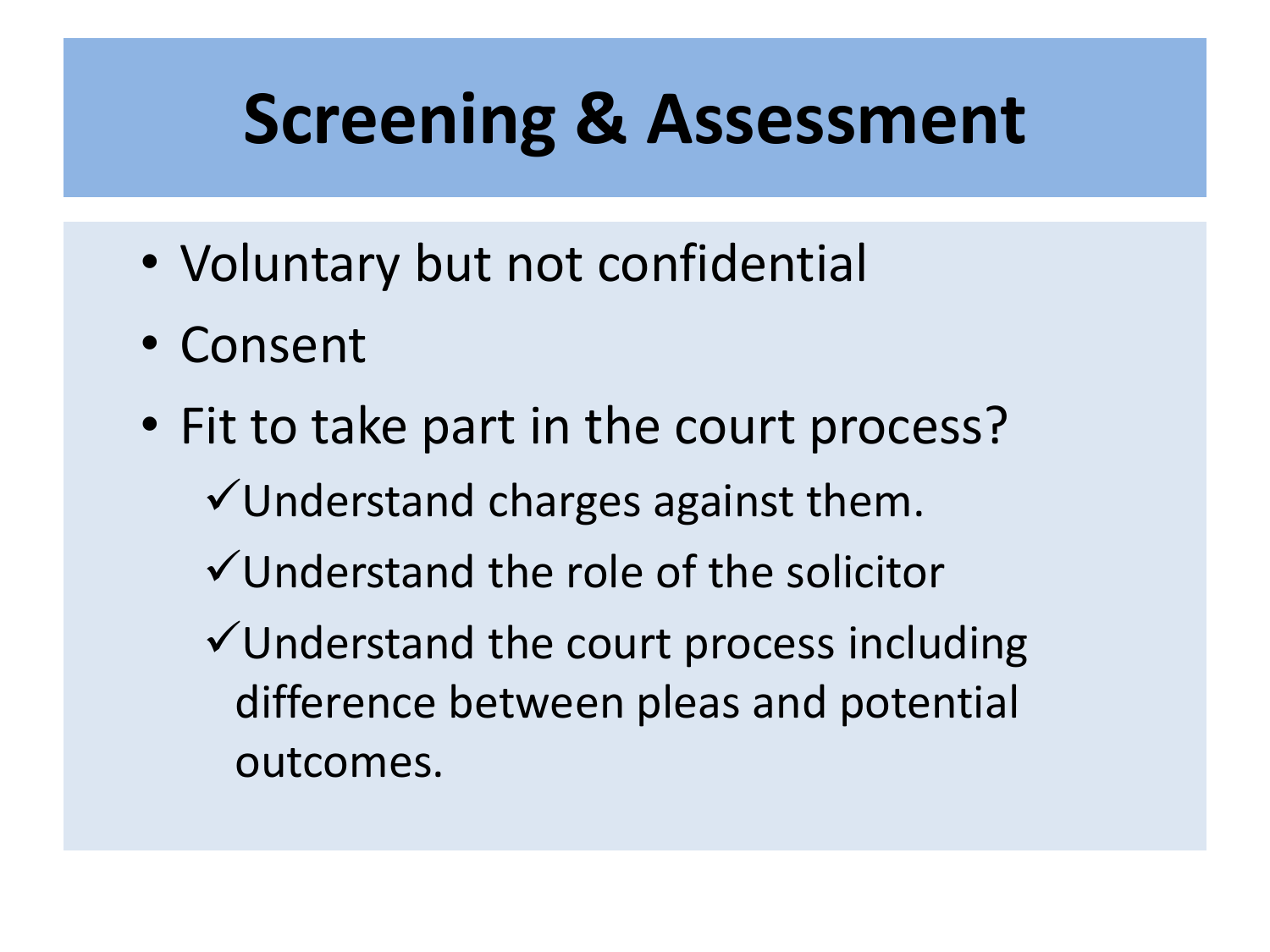### **Screening & Assessment**

- Voluntary but not confidential
- Consent
- Fit to take part in the court process?
	- $\checkmark$  Understand charges against them.
	- Understand the role of the solicitor
	- $\checkmark$  Understand the court process including difference between pleas and potential outcomes.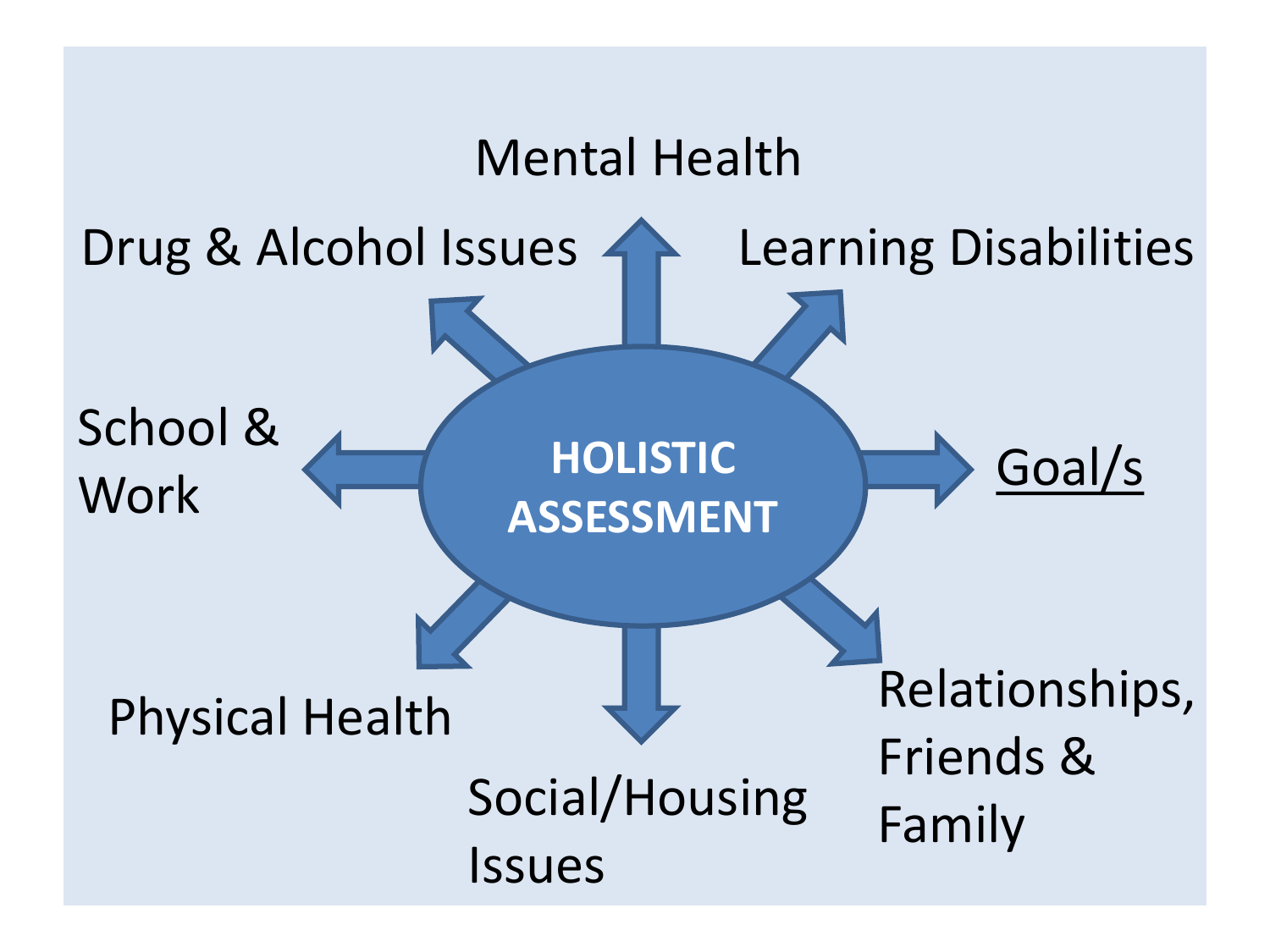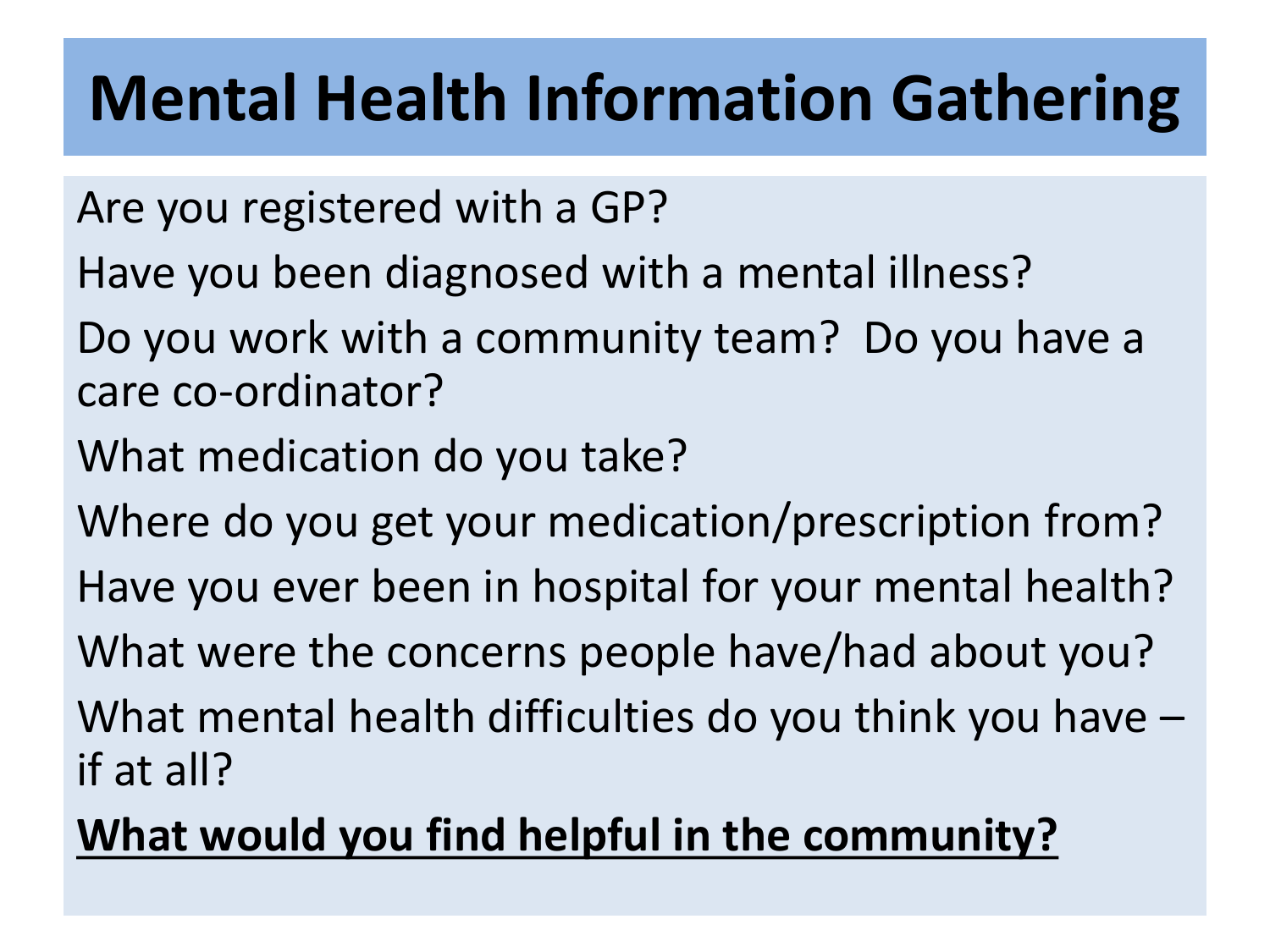#### **Mental Health Information Gathering**

- Are you registered with a GP?
- Have you been diagnosed with a mental illness?
- Do you work with a community team? Do you have a care co-ordinator?
- What medication do you take?
- Where do you get your medication/prescription from?
- Have you ever been in hospital for your mental health?
- What were the concerns people have/had about you?
- What mental health difficulties do you think you have if at all?

#### **What would you find helpful in the community?**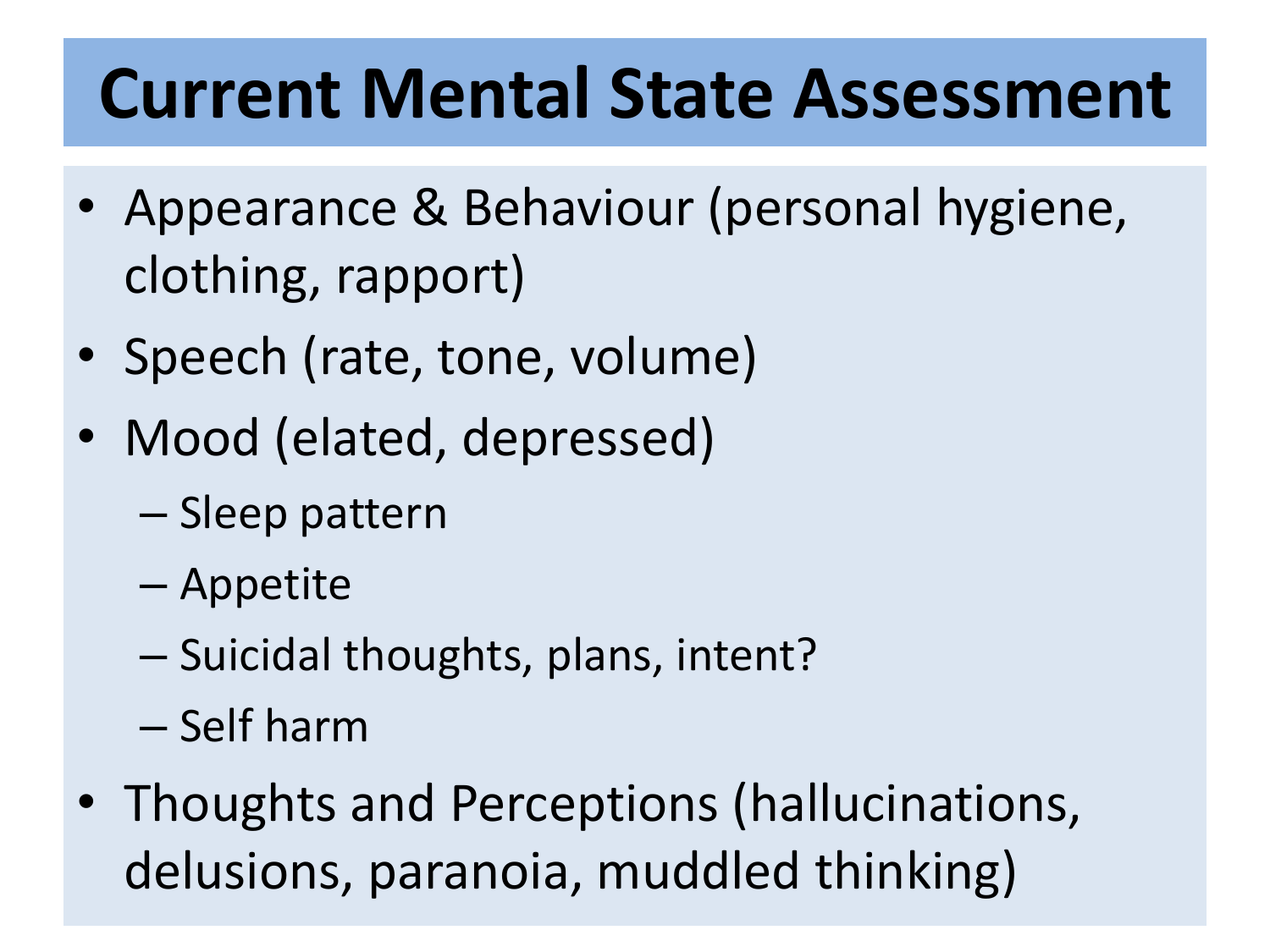### **Current Mental State Assessment**

- Appearance & Behaviour (personal hygiene, clothing, rapport)
- Speech (rate, tone, volume)
- Mood (elated, depressed)
	- Sleep pattern
	- Appetite
	- Suicidal thoughts, plans, intent?
	- Self harm
- Thoughts and Perceptions (hallucinations, delusions, paranoia, muddled thinking)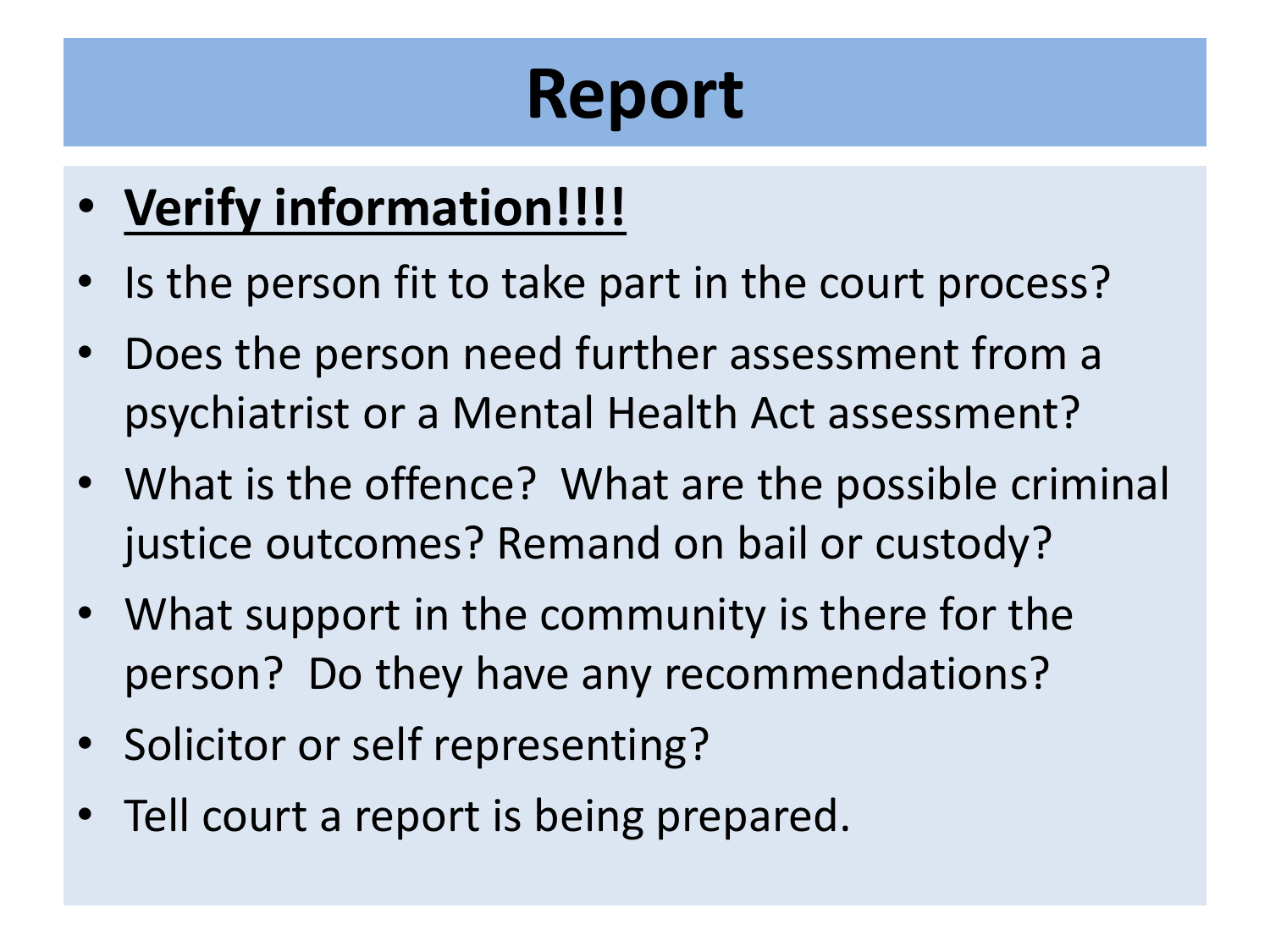# **Report**

#### • **Verify information!!!!**

- Is the person fit to take part in the court process?
- Does the person need further assessment from a psychiatrist or a Mental Health Act assessment?
- What is the offence? What are the possible criminal justice outcomes? Remand on bail or custody?
- What support in the community is there for the person? Do they have any recommendations?
- Solicitor or self representing?
- Tell court a report is being prepared.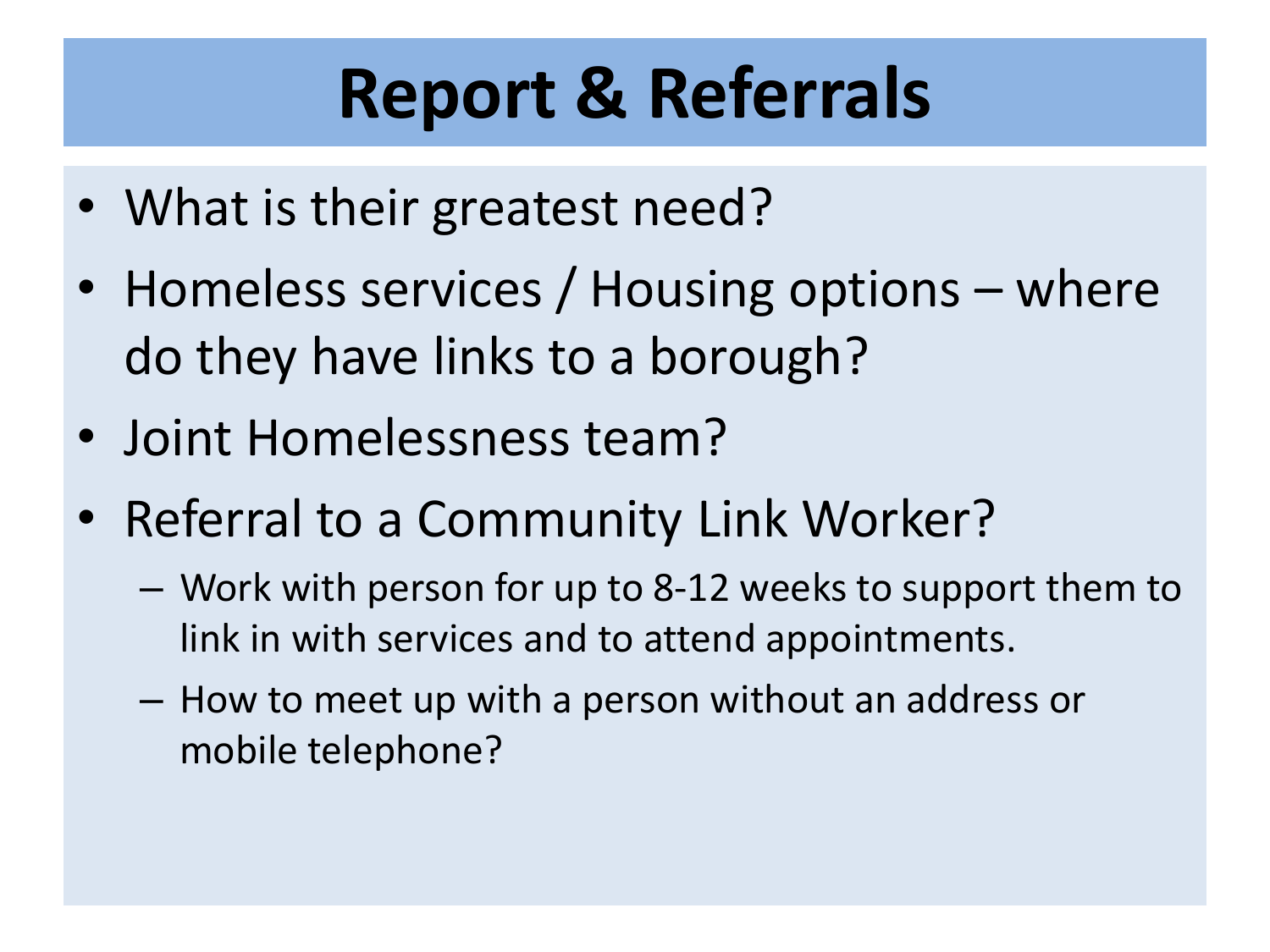# **Report & Referrals**

- What is their greatest need?
- Homeless services / Housing options where do they have links to a borough?
- Joint Homelessness team?
- Referral to a Community Link Worker?
	- Work with person for up to 8-12 weeks to support them to link in with services and to attend appointments.
	- How to meet up with a person without an address or mobile telephone?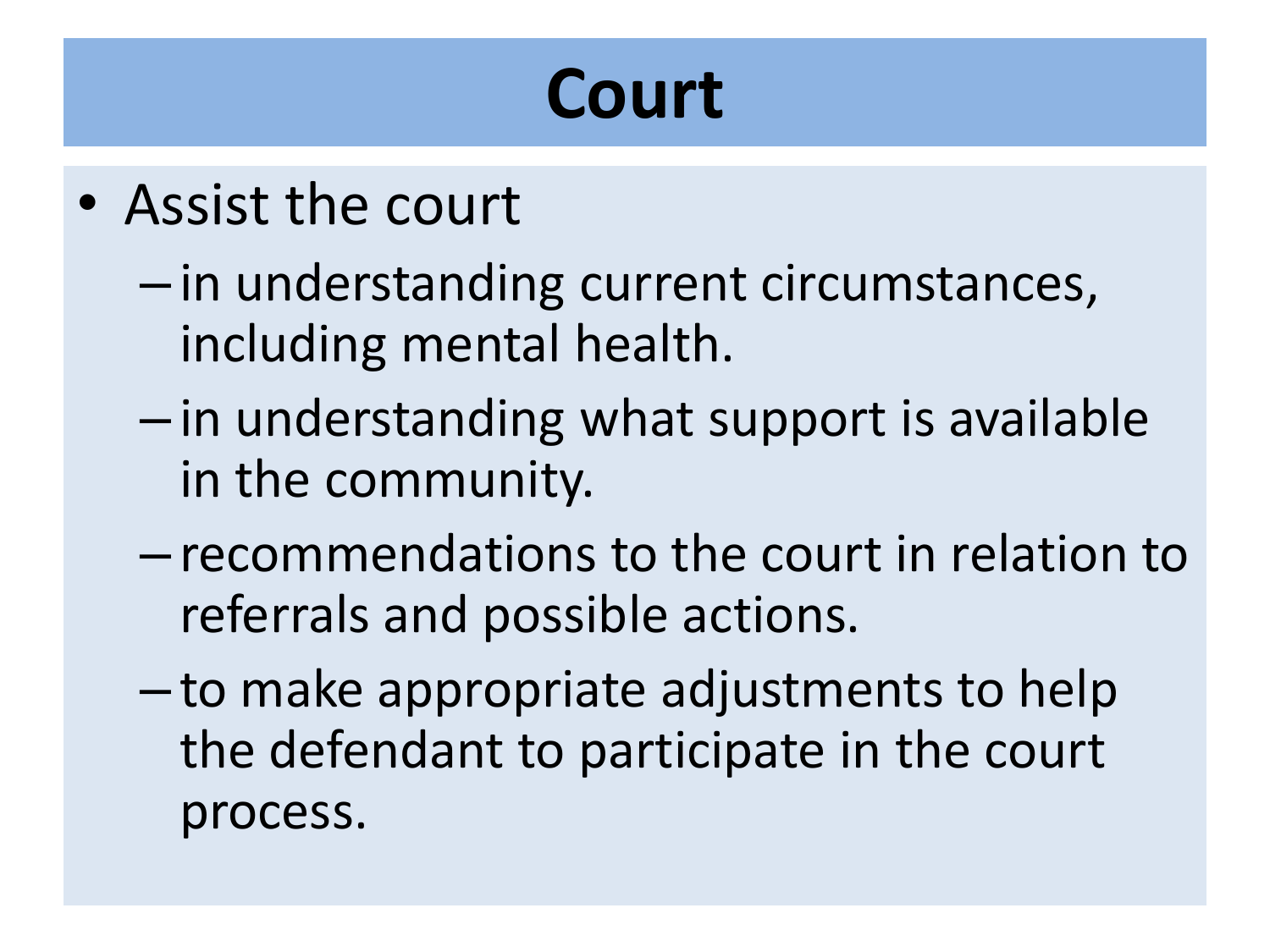### **Court**

- Assist the court
	- in understanding current circumstances, including mental health.
	- in understanding what support is available in the community.
	- recommendations to the court in relation to referrals and possible actions.
	- to make appropriate adjustments to help the defendant to participate in the court process.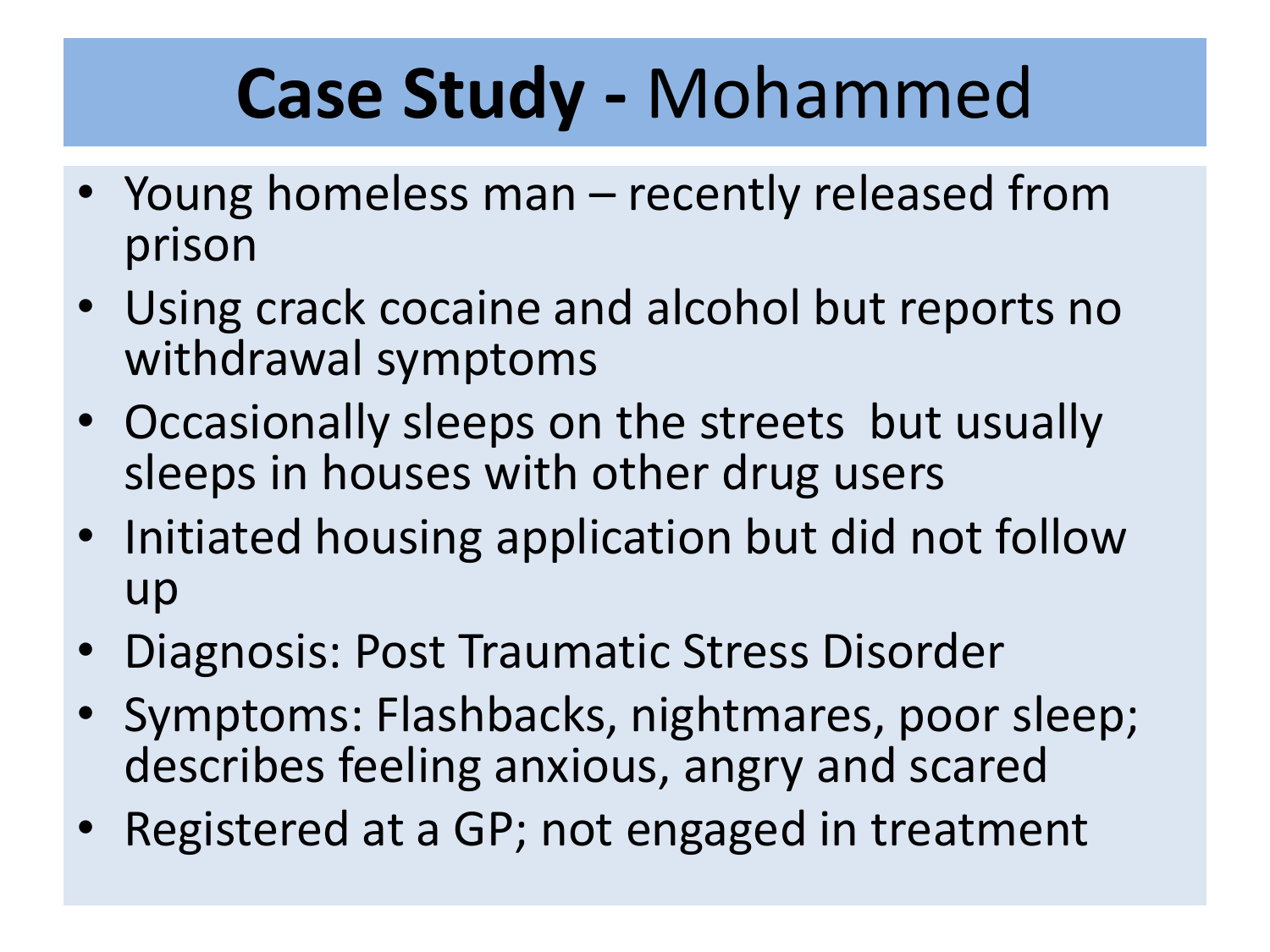# **Case Study -** Mohammed

- Young homeless man recently released from prison
- Using crack cocaine and alcohol but reports no withdrawal symptoms
- Occasionally sleeps on the streets but usually sleeps in houses with other drug users
- Initiated housing application but did not follow up
- Diagnosis: Post Traumatic Stress Disorder
- Symptoms: Flashbacks, nightmares, poor sleep; describes feeling anxious, angry and scared
- Registered at a GP; not engaged in treatment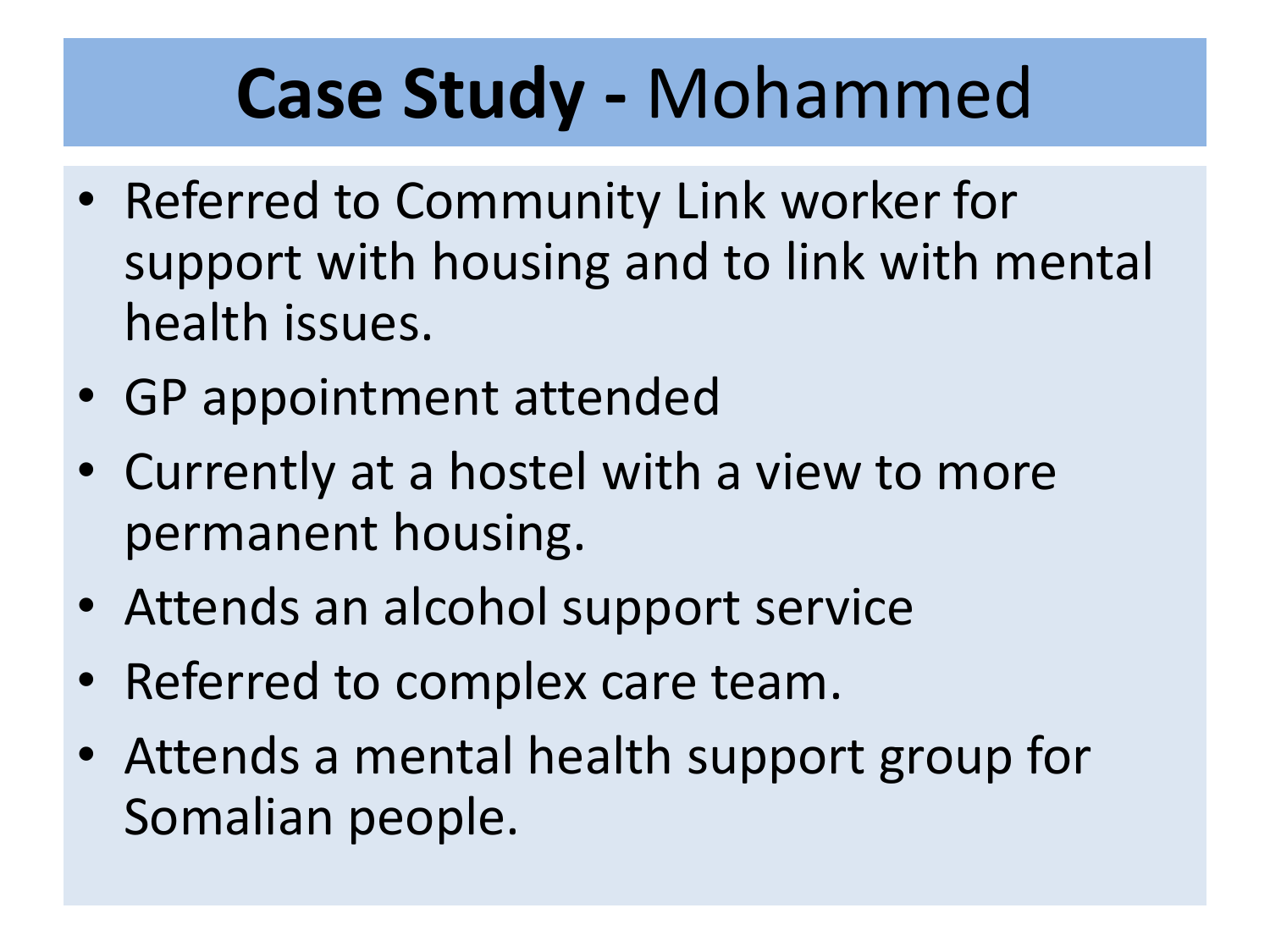# **Case Study -** Mohammed

- Referred to Community Link worker for support with housing and to link with mental health issues.
- GP appointment attended
- Currently at a hostel with a view to more permanent housing.
- Attends an alcohol support service
- Referred to complex care team.
- Attends a mental health support group for Somalian people.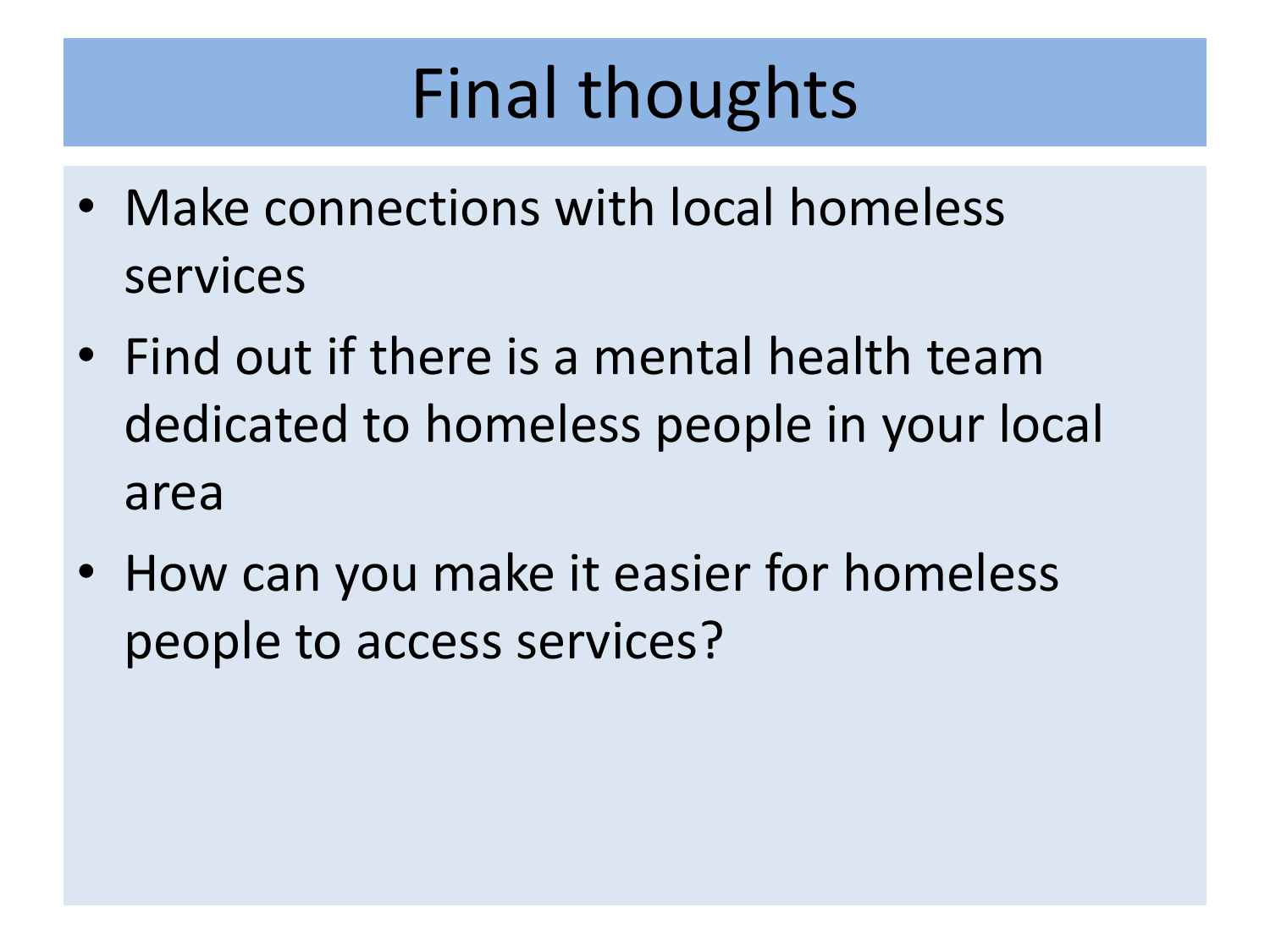# Final thoughts

- Make connections with local homeless services
- Find out if there is a mental health team dedicated to homeless people in your local area
- How can you make it easier for homeless people to access services?